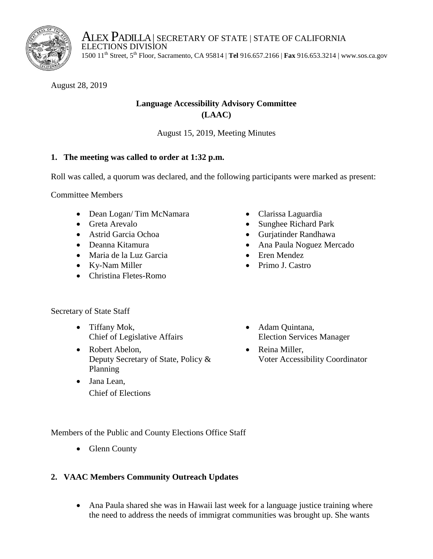

ALEX PADILLA | SECRETARY OF STATE | STATE OF CALIFORNIA<br>ELECTIONS DIVISION<br>1500 11<sup>th</sup> Street, 5<sup>th</sup> Floor, Sacramento, CA 95814 | **Tel** 916.657.2166 | **Fax** 916.653.3214 |<www.sos.ca.gov> 1500 11<sup>th</sup> Street, 5<sup>th</sup> Floor, Sacramento, CA 95814 | Tel 916.657.2166 | Fax 916.653.3214 | www.sos.ca.gov

August 28, 2019

# **Language Accessibility Advisory Committee (LAAC)**

August 15, 2019, Meeting Minutes

## **1. The meeting was called to order at 1:32 p.m.**

Roll was called, a quorum was declared, and the following participants were marked as present:

Committee Members

- Dean Logan/Tim McNamara
- Greta Arevalo
- Astrid Garcia Ochoa
- Deanna Kitamura
- Maria de la Luz Garcia
- Ky-Nam Miller
- Christina Fletes-Romo
- Secretary of State Staff
	- Tiffany Mok, Chief of Legislative Affairs
	- Deputy Secretary of State, Policy & • Robert Abelon, Planning
	- Jana Lean, Chief of Elections
- Clarissa Laguardia
- Sunghee Richard Park
- Gurjatinder Randhawa
- Ana Paula Noguez Mercado
- Eren Mendez
- Primo J. Castro
- Adam Quintana, Election Services Manager
- Reina Miller, Voter Accessibility Coordinator

Members of the Public and County Elections Office Staff

• Glenn County

#### **2. VAAC Members Community Outreach Updates**

 Ana Paula shared she was in Hawaii last week for a language justice training where the need to address the needs of immigrat communities was brought up. She wants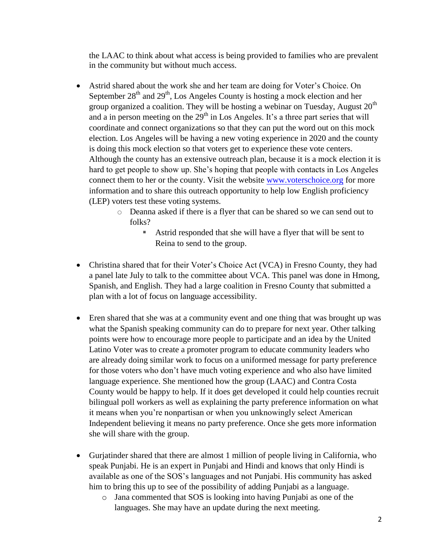the LAAC to think about what access is being provided to families who are prevalent in the community but without much access.

- and a in person meeting on the  $29<sup>th</sup>$  in Los Angeles. It's a three part series that will election. Los Angeles will be having a new voting experience in 2020 and the county Astrid shared about the work she and her team are doing for Voter's Choice. On September  $28<sup>th</sup>$  and  $29<sup>th</sup>$ , Los Angeles County is hosting a mock election and her group organized a coalition. They will be hosting a webinar on Tuesday, August  $20<sup>th</sup>$ coordinate and connect organizations so that they can put the word out on this mock is doing this mock election so that voters get to experience these vote centers. Although the county has an extensive outreach plan, because it is a mock election it is hard to get people to show up. She's hoping that people with contacts in Los Angeles connect them to her or the county. Visit the website [www.voterschoice.org](http://www.voterschoice.org/) for more information and to share this outreach opportunity to help low English proficiency (LEP) voters test these voting systems.
	- o Deanna asked if there is a flyer that can be shared so we can send out to folks?
		- Astrid responded that she will have a flyer that will be sent to Reina to send to the group.
- Christina shared that for their Voter's Choice Act (VCA) in Fresno County, they had a panel late July to talk to the committee about VCA. This panel was done in Hmong, Spanish, and English. They had a large coalition in Fresno County that submitted a plan with a lot of focus on language accessibility.
- language experience. She mentioned how the group (LAAC) and Contra Costa she will share with the group. Eren shared that she was at a community event and one thing that was brought up was what the Spanish speaking community can do to prepare for next year. Other talking points were how to encourage more people to participate and an idea by the United Latino Voter was to create a promoter program to educate community leaders who are already doing similar work to focus on a uniformed message for party preference for those voters who don't have much voting experience and who also have limited County would be happy to help. If it does get developed it could help counties recruit bilingual poll workers as well as explaining the party preference information on what it means when you're nonpartisan or when you unknowingly select American Independent believing it means no party preference. Once she gets more information
- Gurjatinder shared that there are almost 1 million of people living in California, who speak Punjabi. He is an expert in Punjabi and Hindi and knows that only Hindi is available as one of the SOS's languages and not Punjabi. His community has asked him to bring this up to see of the possibility of adding Punjabi as a language.
	- o Jana commented that SOS is looking into having Punjabi as one of the languages. She may have an update during the next meeting.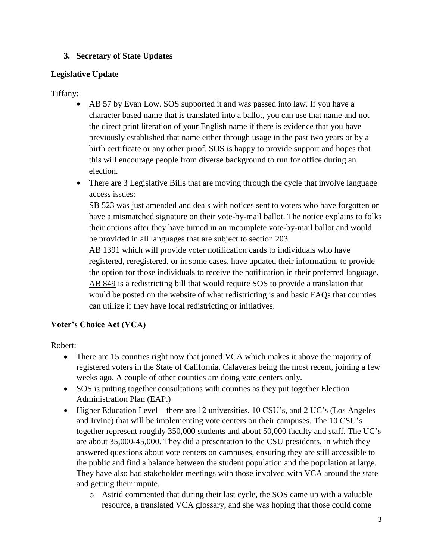# **3. Secretary of State Updates**

#### **Legislative Update**

## Tiffany:

- character based name that is translated into a ballot, you can use that name and not previously established that name either through usage in the past two years or by a AB 57 by Evan Low. SOS supported it and was passed into law. If you have a the direct print literation of your English name if there is evidence that you have birth certificate or any other proof. SOS is happy to provide support and hopes that this will encourage people from diverse background to run for office during an election.
- There are 3 Legislative Bills that are moving through the cycle that involve language access issues:

SB 523 was just amended and deals with notices sent to voters who have forgotten or have a mismatched signature on their vote-by-mail ballot. The notice explains to folks their options after they have turned in an incomplete vote-by-mail ballot and would be provided in all languages that are subject to section 203.

AB 1391 which will provide voter notification cards to individuals who have registered, reregistered, or in some cases, have updated their information, to provide the option for those individuals to receive the notification in their preferred language. AB 849 is a redistricting bill that would require SOS to provide a translation that would be posted on the website of what redistricting is and basic FAQs that counties can utilize if they have local redistricting or initiatives.

# **Voter's Choice Act (VCA)**

Robert:

- registered voters in the State of California. Calaveras being the most recent, joining a few • There are 15 counties right now that joined VCA which makes it above the majority of weeks ago. A couple of other counties are doing vote centers only.
- SOS is putting together consultations with counties as they put together Election Administration Plan (EAP.)
- Higher Education Level there are 12 universities, 10 CSU's, and 2 UC's (Los Angeles and Irvine) that will be implementing vote centers on their campuses. The 10 CSU's together represent roughly 350,000 students and about 50,000 faculty and staff. The UC's are about 35,000-45,000. They did a presentation to the CSU presidents, in which they answered questions about vote centers on campuses, ensuring they are still accessible to the public and find a balance between the student population and the population at large. They have also had stakeholder meetings with those involved with VCA around the state and getting their impute.
	- o Astrid commented that during their last cycle, the SOS came up with a valuable resource, a translated VCA glossary, and she was hoping that those could come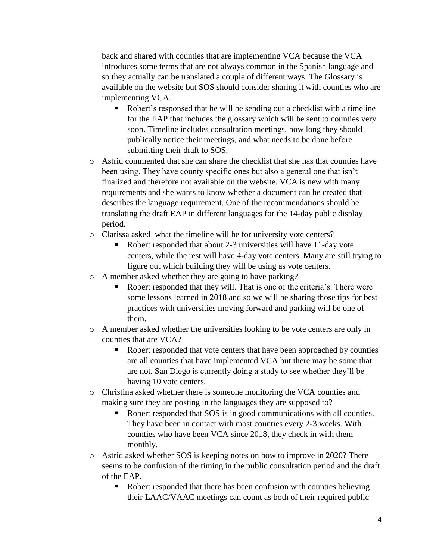back and shared with counties that are implementing VCA because the VCA introduces some terms that are not always common in the Spanish language and so they actually can be translated a couple of different ways. The Glossary is available on the website but SOS should consider sharing it with counties who are implementing VCA.

- Robert's responsed that he will be sending out a checklist with a timeline for the EAP that includes the glossary which will be sent to counties very soon. Timeline includes consultation meetings, how long they should publically notice their meetings, and what needs to be done before submitting their draft to SOS.
- o Astrid commented that she can share the checklist that she has that counties have been using. They have county specific ones but also a general one that isn't finalized and therefore not available on the website. VCA is new with many requirements and she wants to know whether a document can be created that describes the language requirement. One of the recommendations should be translating the draft EAP in different languages for the 14-day public display period.
- o Clarissa asked what the timeline will be for university vote centers?
	- Robert responded that about 2-3 universities will have 11-day vote centers, while the rest will have 4-day vote centers. Many are still trying to figure out which building they will be using as vote centers.
- o A member asked whether they are going to have parking?
	- Robert responded that they will. That is one of the criteria's. There were some lessons learned in 2018 and so we will be sharing those tips for best practices with universities moving forward and parking will be one of them.
- o A member asked whether the universities looking to be vote centers are only in counties that are VCA?
	- Robert responded that vote centers that have been approached by counties are all counties that have implemented VCA but there may be some that are not. San Diego is currently doing a study to see whether they'll be having 10 vote centers.
- making sure they are posting in the languages they are supposed to? o Christina asked whether there is someone monitoring the VCA counties and
	- Robert responded that SOS is in good communications with all counties. They have been in contact with most counties every 2-3 weeks. With counties who have been VCA since 2018, they check in with them monthly.
- o Astrid asked whether SOS is keeping notes on how to improve in 2020? There seems to be confusion of the timing in the public consultation period and the draft of the EAP.
	- Robert responded that there has been confusion with counties believing their LAAC/VAAC meetings can count as both of their required public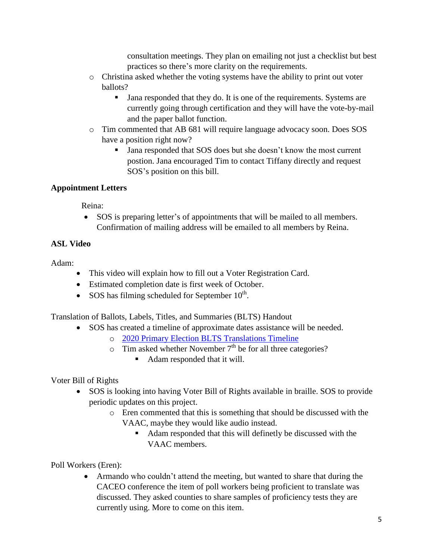consultation meetings. They plan on emailing not just a checklist but best practices so there's more clarity on the requirements.

- o Christina asked whether the voting systems have the ability to print out voter ballots?
	- If Jana responded that they do. It is one of the requirements. Systems are and the paper ballot function. currently going through certification and they will have the vote-by-mail
- o Tim commented that AB 681 will require language advocacy soon. Does SOS have a position right now?
	- If Jana responded that SOS does but she doesn't know the most current postion. Jana encouraged Tim to contact Tiffany directly and request SOS's position on this bill.

# **Appointment Letters**

Reina:

• SOS is preparing letter's of appointments that will be mailed to all members. Confirmation of mailing address will be emailed to all members by Reina.

# **ASL Video**

Adam:

- This video will explain how to fill out a Voter Registration Card.
- Estimated completion date is first week of October.
- SOS has filming scheduled for September  $10^{th}$ .

Translation of Ballots, Labels, Titles, and Summaries (BLTS) Handout

- SOS has created a timeline of approximate dates assistance will be needed.
	- o 2020 Primary Election BLTS Translations Timeline
	- $\circ$  Tim asked whether November 7<sup>th</sup> be for all three categories?
		- Adam responded that it will.

Voter Bill of Rights

- SOS is looking into having Voter Bill of Rights available in braille. SOS to provide periodic updates on this project.
	- o Eren commented that this is something that should be discussed with the VAAC, maybe they would like audio instead.
		- Adam responded that this will definetly be discussed with the VAAC members.

Poll Workers (Eren):

 discussed. They asked counties to share samples of proficiency tests they are Armando who couldn't attend the meeting, but wanted to share that during the CACEO conference the item of poll workers being proficient to translate was currently using. More to come on this item.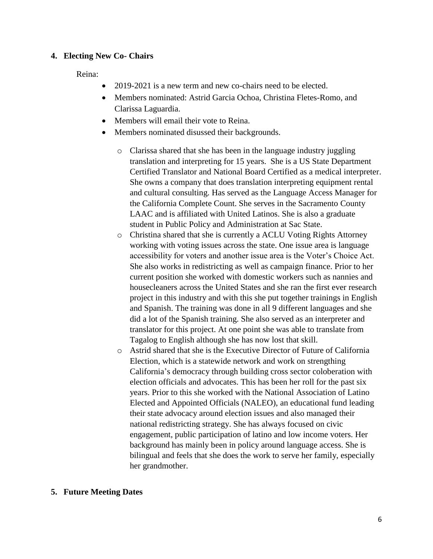#### **4. Electing New Co- Chairs**

Reina:

- 2019-2021 is a new term and new co-chairs need to be elected.
- Clarissa Laguardia. Members nominated: Astrid Garcia Ochoa, Christina Fletes-Romo, and
- Members will email their vote to Reina.
- Members nominated disussed their backgrounds.
	- o Clarissa shared that she has been in the language industry juggling translation and interpreting for 15 years. She is a US State Department Certified Translator and National Board Certified as a medical interpreter. She owns a company that does translation interpreting equipment rental and cultural consulting. Has served as the Language Access Manager for the California Complete Count. She serves in the Sacramento County LAAC and is affiliated with United Latinos. She is also a graduate student in Public Policy and Administration at Sac State.
	- o Christina shared that she is currently a ACLU Voting Rights Attorney did a lot of the Spanish training. She also served as an interpreter and working with voting issues across the state. One issue area is language accessibility for voters and another issue area is the Voter's Choice Act. She also works in redistricting as well as campaign finance. Prior to her current position she worked with domestic workers such as nannies and housecleaners across the United States and she ran the first ever research project in this industry and with this she put together trainings in English and Spanish. The training was done in all 9 different languages and she translator for this project. At one point she was able to translate from Tagalog to English although she has now lost that skill.
	- o Astrid shared that she is the Executive Director of Future of California Election, which is a statewide network and work on strengthing California's democracy through building cross sector coloberation with election officials and advocates. This has been her roll for the past six years. Prior to this she worked with the National Association of Latino Elected and Appointed Officials (NALEO), an educational fund leading their state advocacy around election issues and also managed their national redistricting strategy. She has always focused on civic engagement, public participation of latino and low income voters. Her background has mainly been in policy around language access. She is bilingual and feels that she does the work to serve her family, especially her grandmother.

#### **5. Future Meeting Dates**